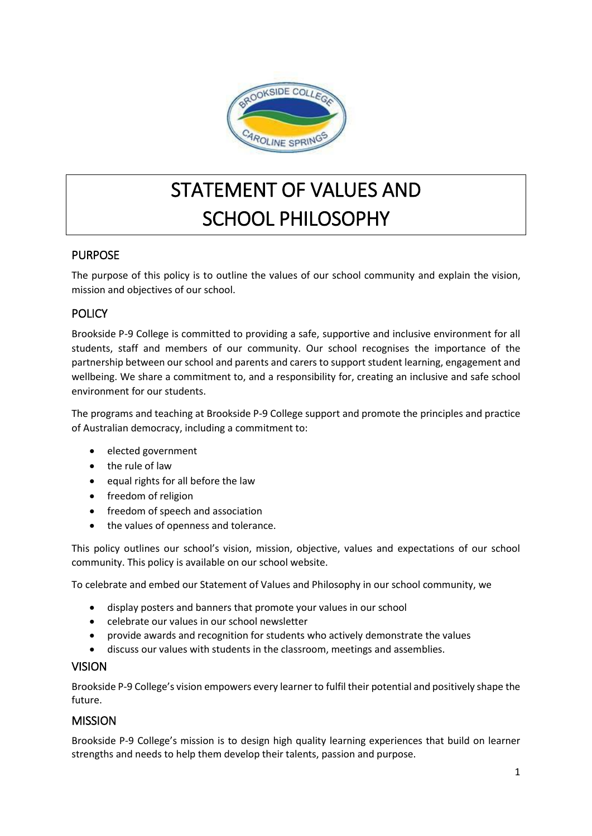

# STATEMENT OF VALUES AND SCHOOL PHILOSOPHY

# PURPOSE

The purpose of this policy is to outline the values of our school community and explain the vision, mission and objectives of our school.

# **POLICY**

Brookside P-9 College is committed to providing a safe, supportive and inclusive environment for all students, staff and members of our community. Our school recognises the importance of the partnership between our school and parents and carers to support student learning, engagement and wellbeing. We share a commitment to, and a responsibility for, creating an inclusive and safe school environment for our students.

The programs and teaching at Brookside P-9 College support and promote the principles and practice of Australian democracy, including a commitment to:

- elected government
- the rule of law
- equal rights for all before the law
- freedom of religion
- freedom of speech and association
- the values of openness and tolerance.

This policy outlines our school's vision, mission, objective, values and expectations of our school community. This policy is available on our school website.

To celebrate and embed our Statement of Values and Philosophy in our school community, we

- display posters and banners that promote your values in our school
- celebrate our values in our school newsletter
- provide awards and recognition for students who actively demonstrate the values
- discuss our values with students in the classroom, meetings and assemblies.

#### VISION

Brookside P-9 College's vision empowers every learner to fulfil their potential and positively shape the future.

#### MISSION

Brookside P-9 College's mission is to design high quality learning experiences that build on learner strengths and needs to help them develop their talents, passion and purpose.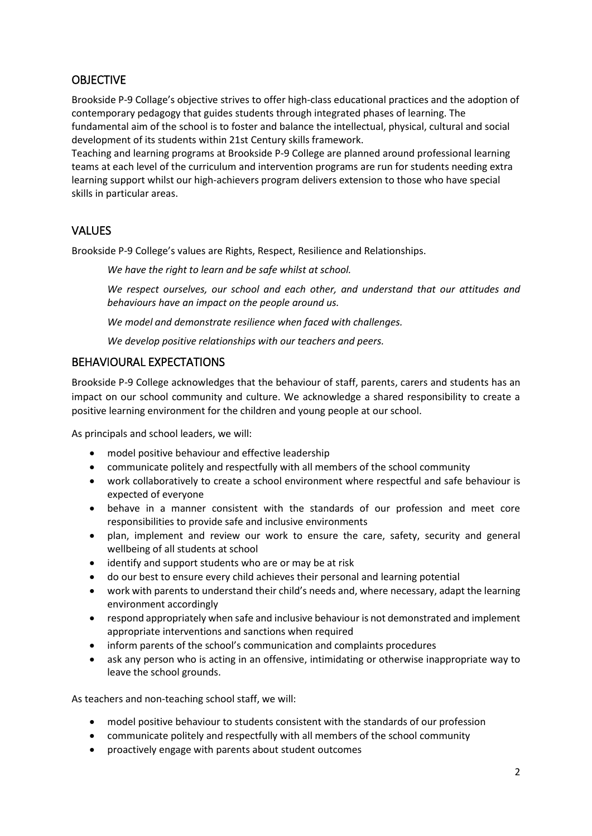# **OBJECTIVE**

Brookside P-9 Collage's objective strives to offer high-class educational practices and the adoption of contemporary pedagogy that guides students through integrated phases of learning. The fundamental aim of the school is to foster and balance the intellectual, physical, cultural and social development of its students within 21st Century skills framework.

Teaching and learning programs at Brookside P-9 College are planned around professional learning teams at each level of the curriculum and intervention programs are run for students needing extra learning support whilst our high-achievers program delivers extension to those who have special skills in particular areas.

# VALUES

Brookside P-9 College's values are Rights, Respect, Resilience and Relationships.

*We have the right to learn and be safe whilst at school.*

*We respect ourselves, our school and each other, and understand that our attitudes and behaviours have an impact on the people around us.* 

*We model and demonstrate resilience when faced with challenges.*

*We develop positive relationships with our teachers and peers.*

### BEHAVIOURAL EXPECTATIONS

Brookside P-9 College acknowledges that the behaviour of staff, parents, carers and students has an impact on our school community and culture. We acknowledge a shared responsibility to create a positive learning environment for the children and young people at our school.

As principals and school leaders, we will:

- model positive behaviour and effective leadership
- communicate politely and respectfully with all members of the school community
- work collaboratively to create a school environment where respectful and safe behaviour is expected of everyone
- behave in a manner consistent with the standards of our profession and meet core responsibilities to provide safe and inclusive environments
- plan, implement and review our work to ensure the care, safety, security and general wellbeing of all students at school
- identify and support students who are or may be at risk
- do our best to ensure every child achieves their personal and learning potential
- work with parents to understand their child's needs and, where necessary, adapt the learning environment accordingly
- respond appropriately when safe and inclusive behaviour is not demonstrated and implement appropriate interventions and sanctions when required
- inform parents of the school's communication and complaints procedures
- ask any person who is acting in an offensive, intimidating or otherwise inappropriate way to leave the school grounds.

As teachers and non-teaching school staff, we will:

- model positive behaviour to students consistent with the standards of our profession
- communicate politely and respectfully with all members of the school community
- proactively engage with parents about student outcomes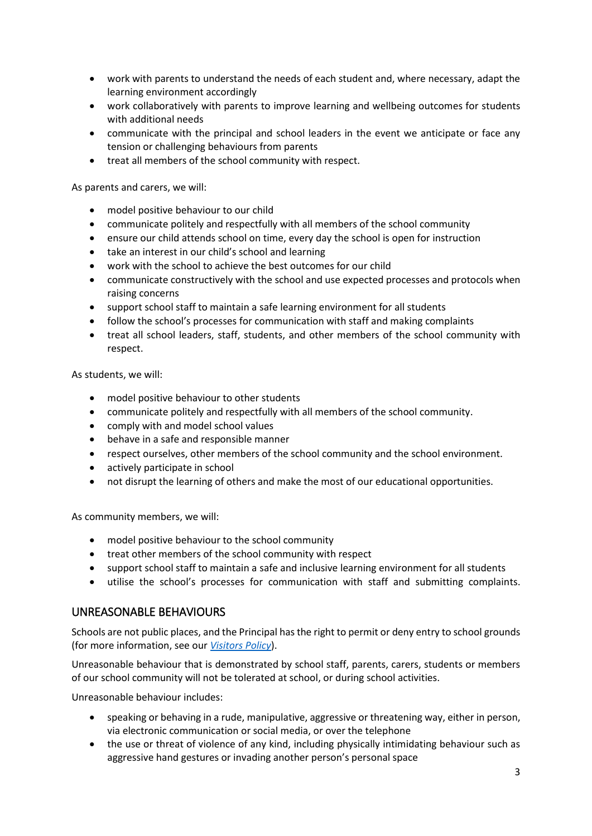- work with parents to understand the needs of each student and, where necessary, adapt the learning environment accordingly
- work collaboratively with parents to improve learning and wellbeing outcomes for students with additional needs
- communicate with the principal and school leaders in the event we anticipate or face any tension or challenging behaviours from parents
- treat all members of the school community with respect.

As parents and carers, we will:

- model positive behaviour to our child
- communicate politely and respectfully with all members of the school community
- ensure our child attends school on time, every day the school is open for instruction
- take an interest in our child's school and learning
- work with the school to achieve the best outcomes for our child
- communicate constructively with the school and use expected processes and protocols when raising concerns
- support school staff to maintain a safe learning environment for all students
- follow the school's processes for communication with staff and making complaints
- treat all school leaders, staff, students, and other members of the school community with respect.

As students, we will:

- model positive behaviour to other students
- communicate politely and respectfully with all members of the school community.
- comply with and model school values
- behave in a safe and responsible manner
- respect ourselves, other members of the school community and the school environment.
- actively participate in school
- not disrupt the learning of others and make the most of our educational opportunities.

As community members, we will:

- model positive behaviour to the school community
- treat other members of the school community with respect
- support school staff to maintain a safe and inclusive learning environment for all students
- utilise the school's processes for communication with staff and submitting complaints.

#### UNREASONABLE BEHAVIOURS

Schools are not public places, and the Principal has the right to permit or deny entry to school grounds (for more information, see our *[Visitors](Visitors%20Policy.docx) Policy*).

Unreasonable behaviour that is demonstrated by school staff, parents, carers, students or members of our school community will not be tolerated at school, or during school activities.

Unreasonable behaviour includes:

- speaking or behaving in a rude, manipulative, aggressive or threatening way, either in person, via electronic communication or social media, or over the telephone
- the use or threat of violence of any kind, including physically intimidating behaviour such as aggressive hand gestures or invading another person's personal space